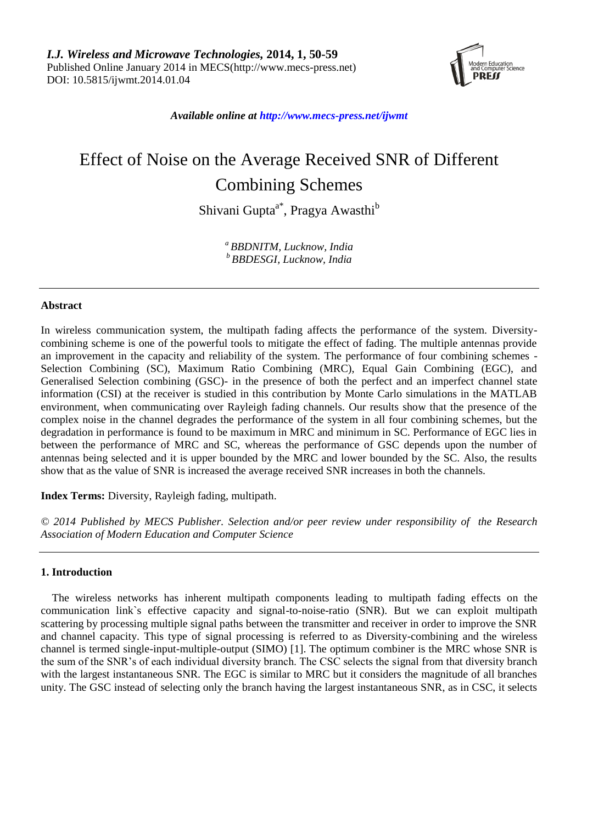

*Available online at http://www.mecs-press.net/ijwmt*

# Effect of Noise on the Average Received SNR of Different Combining Schemes

Shivani Gupta<sup>a\*</sup>, Pragya Awasthi<sup>b</sup>

*<sup>a</sup> BBDNITM, Lucknow, India <sup>b</sup> BBDESGI, Lucknow, India*

# **Abstract**

In wireless communication system, the multipath fading affects the performance of the system. Diversitycombining scheme is one of the powerful tools to mitigate the effect of fading. The multiple antennas provide an improvement in the capacity and reliability of the system. The performance of four combining schemes - Selection Combining (SC), Maximum Ratio Combining (MRC), Equal Gain Combining (EGC), and Generalised Selection combining (GSC)- in the presence of both the perfect and an imperfect channel state information (CSI) at the receiver is studied in this contribution by Monte Carlo simulations in the MATLAB environment, when communicating over Rayleigh fading channels. Our results show that the presence of the complex noise in the channel degrades the performance of the system in all four combining schemes, but the degradation in performance is found to be maximum in MRC and minimum in SC. Performance of EGC lies in between the performance of MRC and SC, whereas the performance of GSC depends upon the number of antennas being selected and it is upper bounded by the MRC and lower bounded by the SC. Also, the results show that as the value of SNR is increased the average received SNR increases in both the channels.

**Index Terms:** Diversity, Rayleigh fading, multipath.

*© 2014 Published by MECS Publisher. Selection and/or peer review under responsibility of the Research Association of Modern Education and Computer Science*

## **1. Introduction**

The wireless networks has inherent multipath components leading to multipath fading effects on the communication link`s effective capacity and signal-to-noise-ratio (SNR). But we can exploit multipath scattering by processing multiple signal paths between the transmitter and receiver in order to improve the SNR and channel capacity. This type of signal processing is referred to as Diversity-combining and the wireless channel is termed single-input-multiple-output (SIMO) [1]. The optimum combiner is the MRC whose SNR is the sum of the SNR's of each individual diversity branch. The CSC selects the signal from that diversity branch with the largest instantaneous SNR. The EGC is similar to MRC but it considers the magnitude of all branches unity. The GSC instead of selecting only the branch having the largest instantaneous SNR, as in CSC, it selects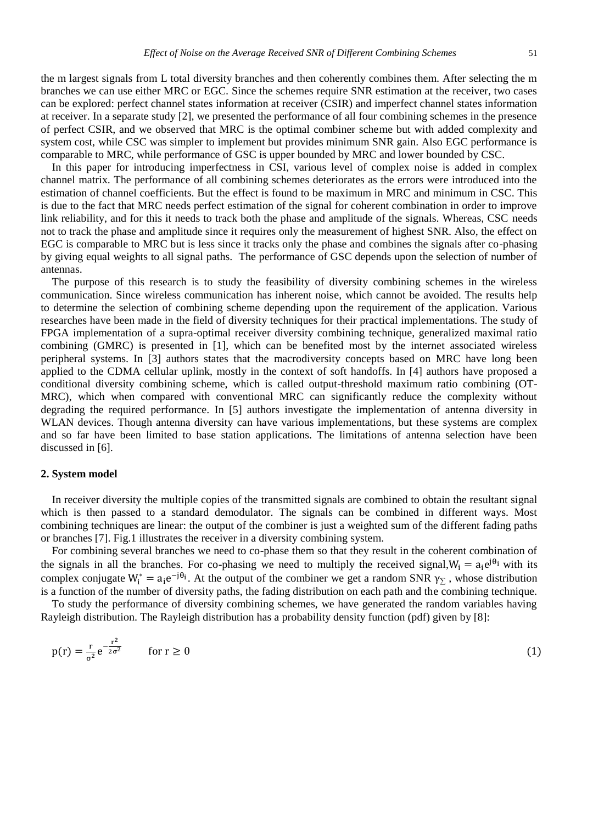the m largest signals from L total diversity branches and then coherently combines them. After selecting the m branches we can use either MRC or EGC. Since the schemes require SNR estimation at the receiver, two cases can be explored: perfect channel states information at receiver (CSIR) and imperfect channel states information at receiver. In a separate study [2], we presented the performance of all four combining schemes in the presence of perfect CSIR, and we observed that MRC is the optimal combiner scheme but with added complexity and system cost, while CSC was simpler to implement but provides minimum SNR gain. Also EGC performance is comparable to MRC, while performance of GSC is upper bounded by MRC and lower bounded by CSC.

In this paper for introducing imperfectness in CSI, various level of complex noise is added in complex channel matrix. The performance of all combining schemes deteriorates as the errors were introduced into the estimation of channel coefficients. But the effect is found to be maximum in MRC and minimum in CSC. This is due to the fact that MRC needs perfect estimation of the signal for coherent combination in order to improve link reliability, and for this it needs to track both the phase and amplitude of the signals. Whereas, CSC needs not to track the phase and amplitude since it requires only the measurement of highest SNR. Also, the effect on EGC is comparable to MRC but is less since it tracks only the phase and combines the signals after co-phasing by giving equal weights to all signal paths. The performance of GSC depends upon the selection of number of antennas.

The purpose of this research is to study the feasibility of diversity combining schemes in the wireless communication. Since wireless communication has inherent noise, which cannot be avoided. The results help to determine the selection of combining scheme depending upon the requirement of the application. Various researches have been made in the field of diversity techniques for their practical implementations. The study of FPGA implementation of a supra-optimal receiver diversity combining technique, generalized maximal ratio combining (GMRC) is presented in [1], which can be benefited most by the internet associated wireless peripheral systems. In [3] authors states that the macrodiversity concepts based on MRC have long been applied to the CDMA cellular uplink, mostly in the context of soft handoffs. In [4] authors have proposed a conditional diversity combining scheme, which is called output-threshold maximum ratio combining (OT-MRC), which when compared with conventional MRC can significantly reduce the complexity without degrading the required performance. In [5] authors investigate the implementation of antenna diversity in WLAN devices. Though antenna diversity can have various implementations, but these systems are complex and so far have been limited to base station applications. The limitations of antenna selection have been discussed in [6].

#### **2. System model**

In receiver diversity the multiple copies of the transmitted signals are combined to obtain the resultant signal which is then passed to a standard demodulator. The signals can be combined in different ways. Most combining techniques are linear: the output of the combiner is just a weighted sum of the different fading paths or branches [7]. Fig.1 illustrates the receiver in a diversity combining system.

For combining several branches we need to co-phase them so that they result in the coherent combination of the signals in all the branches. For co-phasing we need to multiply the received signal,  $W_i = a_i e^{j\theta_i}$  with its complex conjugate  $W_i^* = a_i e^{-j\theta_i}$ . At the output of the combiner we get a random SNR  $\gamma_{\Sigma}$ , whose distribution is a function of the number of diversity paths, the fading distribution on each path and the combining technique.

To study the performance of diversity combining schemes, we have generated the random variables having Rayleigh distribution. The Rayleigh distribution has a probability density function (pdf) given by [8]:

$$
p(r) = \frac{r}{\sigma^2} e^{-\frac{r^2}{2\sigma^2}} \qquad \text{for } r \ge 0
$$
 (1)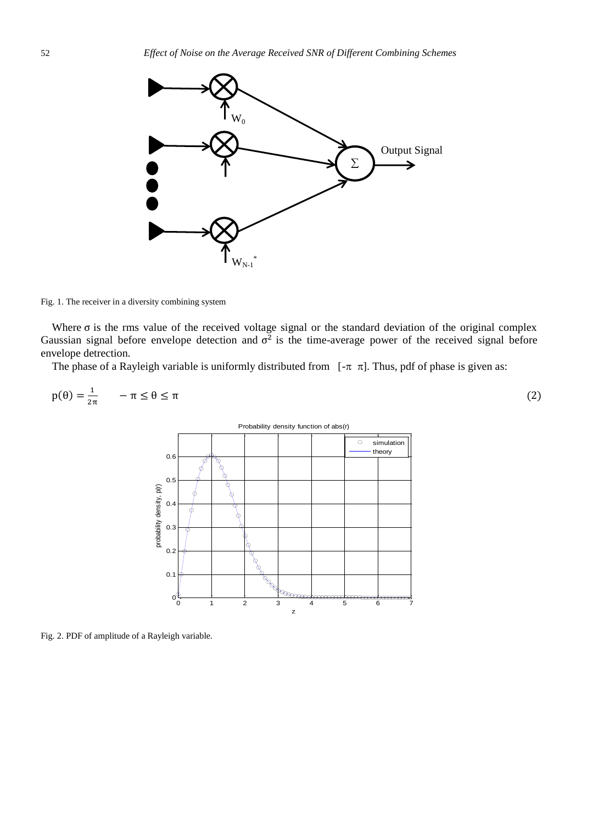

Fig. 1. The receiver in a diversity combining system

Where  $\sigma$  is the rms value of the received voltage signal or the standard deviation of the original complex Gaussian signal before envelope detection and  $\sigma^2$  is the time-average power of the received signal before envelope detrection.

The phase of a Rayleigh variable is uniformly distributed from  $[-\pi \pi]$ . Thus, pdf of phase is given as:

$$
p(\theta) = \frac{1}{2\pi} \qquad -\pi \le \theta \le \pi \tag{2}
$$

Probability density function of abs(r)

 $\circ$ simulation theory 0.6  $0.5$ <sup>z</sup> probability density, p(r) 0.4 0.3 0.2 0.1  $\mathbf{o}^{\prime}$ 0 1 2 3 4 5 6 7

Fig. 2. PDF of amplitude of a Rayleigh variable.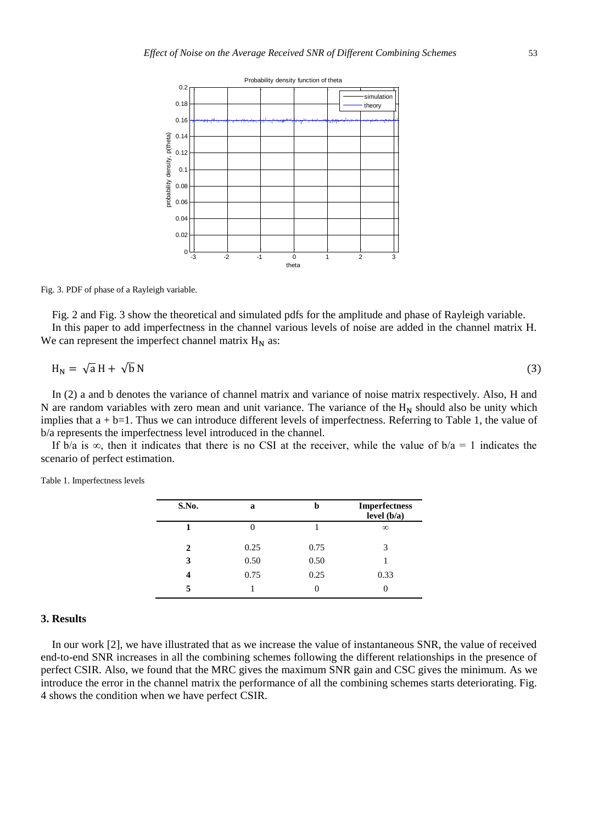

Fig. 3. PDF of phase of a Rayleigh variable.

Fig. 2 and Fig. 3 show the theoretical and simulated pdfs for the amplitude and phase of Rayleigh variable. In this paper to add imperfectness in the channel various levels of noise are added in the channel matrix H. We can represent the imperfect channel matrix  $H_N$  as:

$$
H_N = \sqrt{a} H + \sqrt{b} N \tag{3}
$$

In (2) a and b denotes the variance of channel matrix and variance of noise matrix respectively. Also, H and N are random variables with zero mean and unit variance. The variance of the  $H_N$  should also be unity which implies that  $a + b = 1$ . Thus we can introduce different levels of imperfectness. Referring to Table 1, the value of b/a represents the imperfectness level introduced in the channel.

If b/a is  $\infty$ , then it indicates that there is no CSI at the receiver, while the value of b/a = 1 indicates the scenario of perfect estimation.

| S.No.                       | a    | h    | <b>Imperfectness</b><br>level $(b/a)$ |
|-----------------------------|------|------|---------------------------------------|
|                             |      |      | $\infty$                              |
| $\mathcal{D}_{\mathcal{L}}$ | 0.25 | 0.75 | 3                                     |
| 3                           | 0.50 | 0.50 |                                       |
| 4                           | 0.75 | 0.25 | 0.33                                  |
|                             |      |      |                                       |

Table 1. Imperfectness levels

## **3. Results**

In our work [2], we have illustrated that as we increase the value of instantaneous SNR, the value of received end-to-end SNR increases in all the combining schemes following the different relationships in the presence of perfect CSIR. Also, we found that the MRC gives the maximum SNR gain and CSC gives the minimum. As we introduce the error in the channel matrix the performance of all the combining schemes starts deteriorating. Fig. 4 shows the condition when we have perfect CSIR.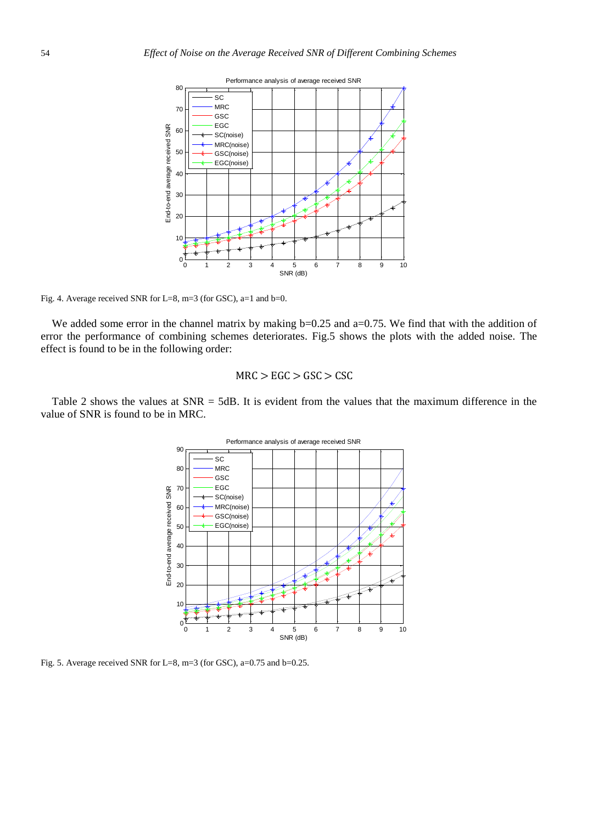

Fig. 4. Average received SNR for L=8, m=3 (for GSC), a=1 and b=0.

We added some error in the channel matrix by making  $b=0.25$  and  $a=0.75$ . We find that with the addition of error the performance of combining schemes deteriorates. Fig.5 shows the plots with the added noise. The effect is found to be in the following order:

# $MRC > EGC > GSC > CSC$

Table 2 shows the values at  $SNR = 5dB$ . It is evident from the values that the maximum difference in the value of SNR is found to be in MRC.



Fig. 5. Average received SNR for L=8, m=3 (for GSC), a=0.75 and b=0.25.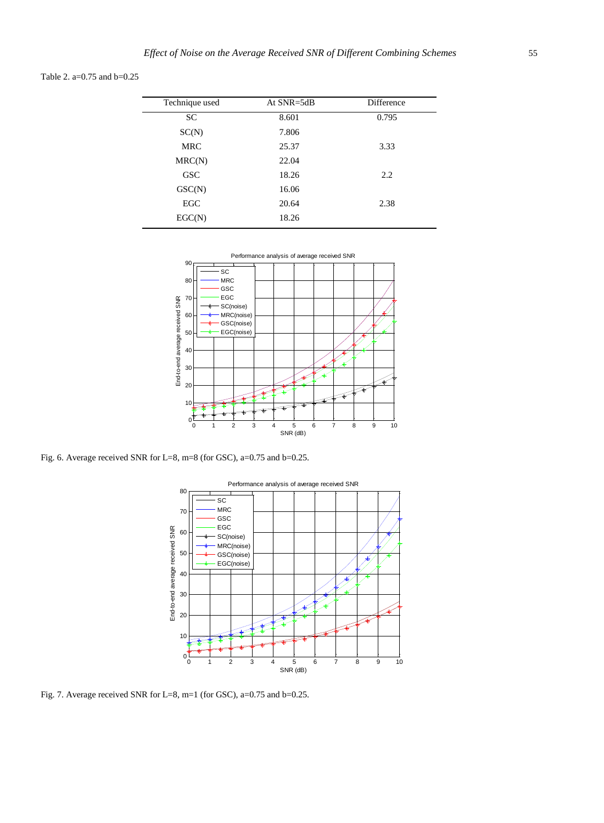Table 2. a=0.75 and b=0.25

| Technique used | At $SNR = 5dB$ | Difference |
|----------------|----------------|------------|
| SC             | 8.601          | 0.795      |
| SC(N)          | 7.806          |            |
| <b>MRC</b>     | 25.37          | 3.33       |
| MRC(N)         | 22.04          |            |
| <b>GSC</b>     | 18.26          | 2.2        |
| GSC(N)         | 16.06          |            |
| EGC            | 20.64          | 2.38       |
| EGC(N)         | 18.26          |            |
|                |                |            |



Fig. 6. Average received SNR for L=8, m=8 (for GSC), a=0.75 and b=0.25.



Fig. 7. Average received SNR for L=8, m=1 (for GSC), a=0.75 and b=0.25.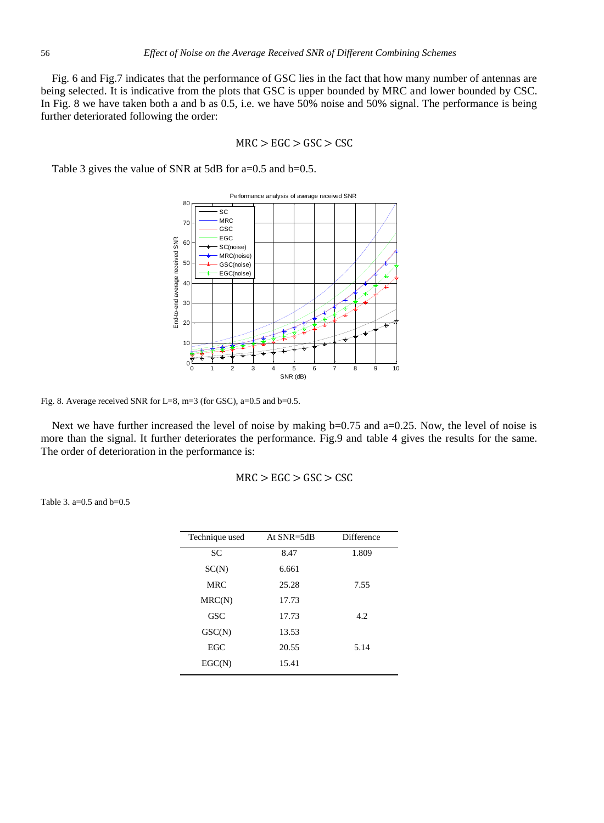Fig. 6 and Fig.7 indicates that the performance of GSC lies in the fact that how many number of antennas are being selected. It is indicative from the plots that GSC is upper bounded by MRC and lower bounded by CSC. In Fig. 8 we have taken both a and b as 0.5, i.e. we have 50% noise and 50% signal. The performance is being further deteriorated following the order:

$$
MRC > EGC > GSC > CSC
$$

Table 3 gives the value of SNR at 5dB for a=0.5 and b=0.5.



Fig. 8. Average received SNR for L=8, m=3 (for GSC), a=0.5 and b=0.5.

Next we have further increased the level of noise by making b=0.75 and a=0.25. Now, the level of noise is more than the signal. It further deteriorates the performance. Fig.9 and table 4 gives the results for the same. The order of deterioration in the performance is:

$$
MRC > EGC > GSC > CSC
$$

Table 3. a=0.5 and b=0.5

| Technique used | At $SNR = 5dB$ | Difference |
|----------------|----------------|------------|
| <b>SC</b>      | 8.47           | 1.809      |
| SC(N)          | 6.661          |            |
| <b>MRC</b>     | 25.28          | 7.55       |
| MRC(N)         | 17.73          |            |
| <b>GSC</b>     | 17.73          | 4.2        |
| GSC(N)         | 13.53          |            |
| <b>EGC</b>     | 20.55          | 5.14       |
| EGC(N)         | 15.41          |            |
|                |                |            |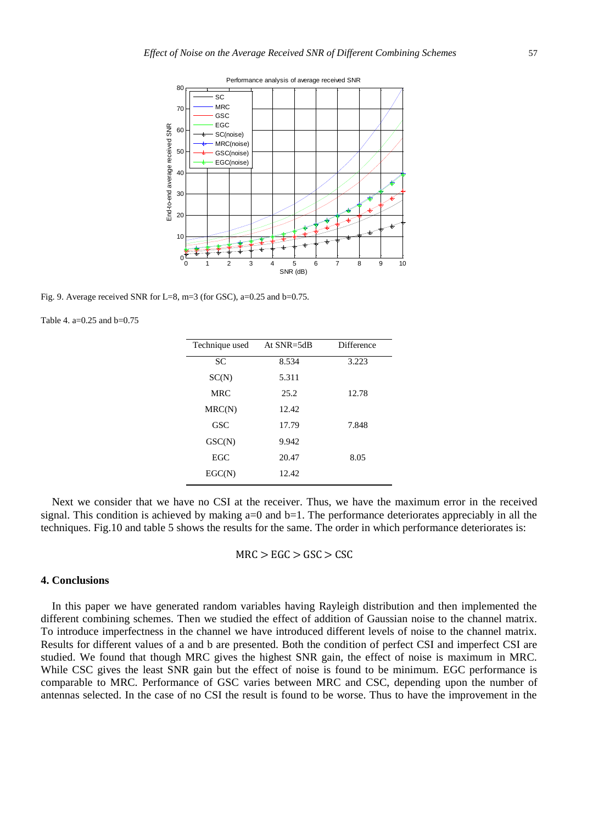

Fig. 9. Average received SNR for L=8, m=3 (for GSC), a=0.25 and b=0.75.

Table 4. a=0.25 and b=0.75

| Technique used | At SNR=5dB | Difference |
|----------------|------------|------------|
| <b>SC</b>      | 8.534      | 3.223      |
| SC(N)          | 5.311      |            |
| <b>MRC</b>     | 25.2       | 12.78      |
| MRC(N)         | 12.42      |            |
| GSC            | 17.79      | 7.848      |
| GSC(N)         | 9.942      |            |
| EGC.           | 20.47      | 8.05       |
| EGC(N)         | 12.42      |            |

Next we consider that we have no CSI at the receiver. Thus, we have the maximum error in the received signal. This condition is achieved by making  $a=0$  and  $b=1$ . The performance deteriorates appreciably in all the techniques. Fig.10 and table 5 shows the results for the same. The order in which performance deteriorates is:

$$
MRC > EGC > GSC > CSC
$$

## **4. Conclusions**

In this paper we have generated random variables having Rayleigh distribution and then implemented the different combining schemes. Then we studied the effect of addition of Gaussian noise to the channel matrix. To introduce imperfectness in the channel we have introduced different levels of noise to the channel matrix. Results for different values of a and b are presented. Both the condition of perfect CSI and imperfect CSI are studied. We found that though MRC gives the highest SNR gain, the effect of noise is maximum in MRC. While CSC gives the least SNR gain but the effect of noise is found to be minimum. EGC performance is comparable to MRC. Performance of GSC varies between MRC and CSC, depending upon the number of antennas selected. In the case of no CSI the result is found to be worse. Thus to have the improvement in the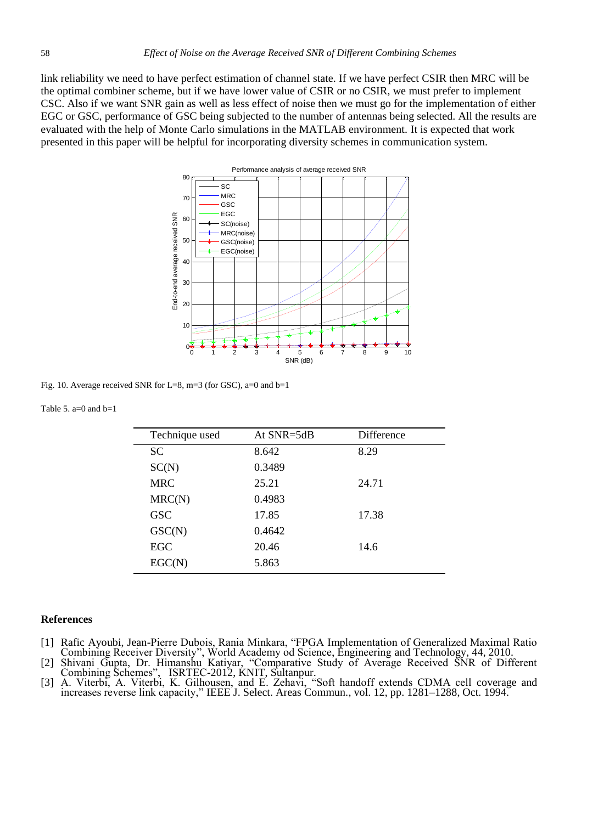link reliability we need to have perfect estimation of channel state. If we have perfect CSIR then MRC will be the optimal combiner scheme, but if we have lower value of CSIR or no CSIR, we must prefer to implement CSC. Also if we want SNR gain as well as less effect of noise then we must go for the implementation of either EGC or GSC, performance of GSC being subjected to the number of antennas being selected. All the results are evaluated with the help of Monte Carlo simulations in the MATLAB environment. It is expected that work presented in this paper will be helpful for incorporating diversity schemes in communication system.



Fig. 10. Average received SNR for L=8, m=3 (for GSC), a=0 and b=1

## Table 5.  $a=0$  and  $b=1$

| Technique used | At $SNR = 5dB$ | <b>Difference</b> |
|----------------|----------------|-------------------|
| <b>SC</b>      | 8.642          | 8.29              |
| SC(N)          | 0.3489         |                   |
| <b>MRC</b>     | 25.21          | 24.71             |
| MRC(N)         | 0.4983         |                   |
| GSC            | 17.85          | 17.38             |
| GSC(N)         | 0.4642         |                   |
| EGC            | 20.46          | 14.6              |
| EGC(N)         | 5.863          |                   |

## **References**

- [1] Rafic Ayoubi, Jean-Pierre Dubois, Rania Minkara, "FPGA Implementation of Generalized Maximal Ratio Combining Receiver Diversity", World Academy od Science, Engineering and Technology, 44, 2010.
- [2] Shivani Gupta, Dr. Himanshu Katiyar, "Comparative Study of Average Received SNR of Different Combining Schemes", ISRTEC-2012, KNIT, Sultanpur.
- [3] A. Viterbi, A. Viterbi, K. Gilhousen, and E. Zehavi, "Soft handoff extends CDMA cell coverage and increases reverse link capacity," IEEE J. Select. Areas Commun., vol. 12, pp. 1281–1288, Oct. 1994.